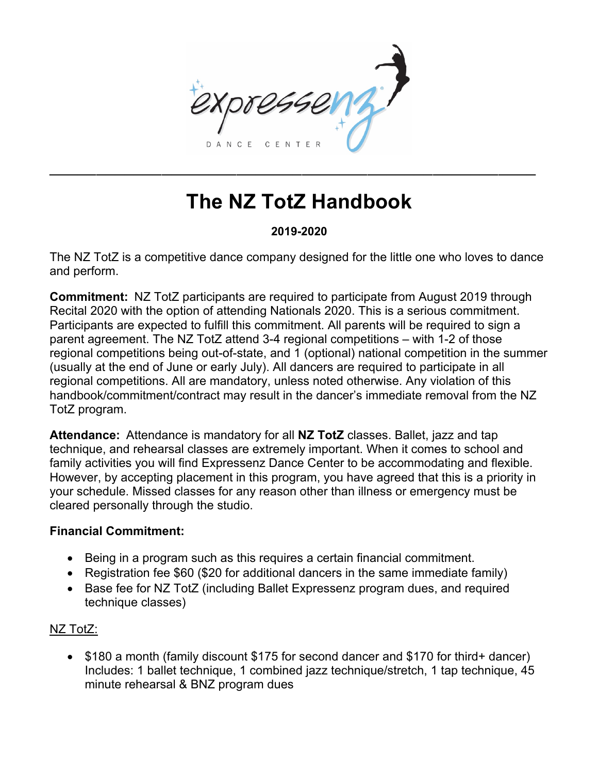

# **The NZ TotZ Handbook**

### **2019-2020**

The NZ TotZ is a competitive dance company designed for the little one who loves to dance and perform.

**Commitment:** NZ TotZ participants are required to participate from August 2019 through Recital 2020 with the option of attending Nationals 2020. This is a serious commitment. Participants are expected to fulfill this commitment. All parents will be required to sign a parent agreement. The NZ TotZ attend 3-4 regional competitions – with 1-2 of those regional competitions being out-of-state, and 1 (optional) national competition in the summer (usually at the end of June or early July). All dancers are required to participate in all regional competitions. All are mandatory, unless noted otherwise. Any violation of this handbook/commitment/contract may result in the dancer's immediate removal from the NZ TotZ program.

**Attendance:** Attendance is mandatory for all **NZ TotZ** classes. Ballet, jazz and tap technique, and rehearsal classes are extremely important. When it comes to school and family activities you will find Expressenz Dance Center to be accommodating and flexible. However, by accepting placement in this program, you have agreed that this is a priority in your schedule. Missed classes for any reason other than illness or emergency must be cleared personally through the studio.

#### **Financial Commitment:**

- Being in a program such as this requires a certain financial commitment.
- Registration fee \$60 (\$20 for additional dancers in the same immediate family)
- Base fee for NZ TotZ (including Ballet Expressenz program dues, and required technique classes)

## NZ TotZ:

• \$180 a month (family discount \$175 for second dancer and \$170 for third+ dancer) Includes: 1 ballet technique, 1 combined jazz technique/stretch, 1 tap technique, 45 minute rehearsal & BNZ program dues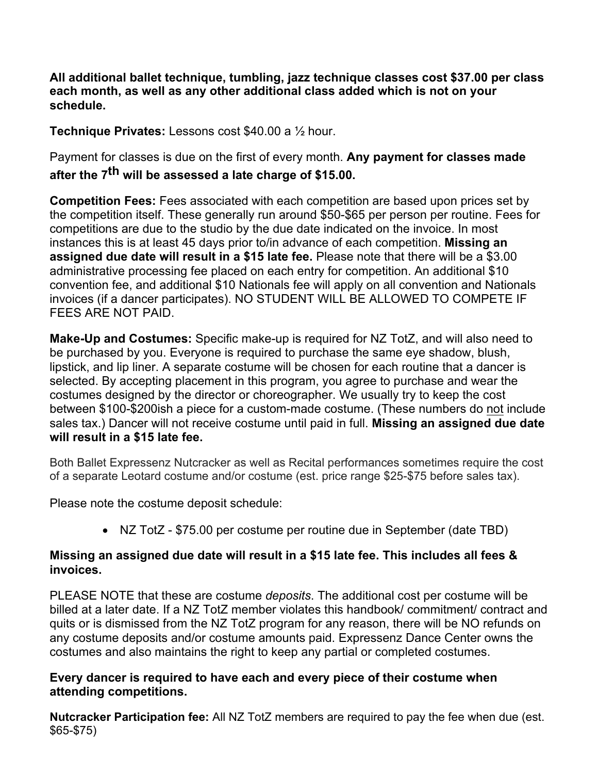**All additional ballet technique, tumbling, jazz technique classes cost \$37.00 per class each month, as well as any other additional class added which is not on your schedule.**

**Technique Privates:** Lessons cost \$40.00 a ½ hour.

Payment for classes is due on the first of every month. **Any payment for classes made after the 7th will be assessed a late charge of \$15.00.** 

**Competition Fees:** Fees associated with each competition are based upon prices set by the competition itself. These generally run around \$50-\$65 per person per routine. Fees for competitions are due to the studio by the due date indicated on the invoice. In most instances this is at least 45 days prior to/in advance of each competition. **Missing an assigned due date will result in a \$15 late fee.** Please note that there will be a \$3.00 administrative processing fee placed on each entry for competition. An additional \$10 convention fee, and additional \$10 Nationals fee will apply on all convention and Nationals invoices (if a dancer participates). NO STUDENT WILL BE ALLOWED TO COMPETE IF FEES ARE NOT PAID.

**Make-Up and Costumes:** Specific make-up is required for NZ TotZ, and will also need to be purchased by you. Everyone is required to purchase the same eye shadow, blush, lipstick, and lip liner. A separate costume will be chosen for each routine that a dancer is selected. By accepting placement in this program, you agree to purchase and wear the costumes designed by the director or choreographer. We usually try to keep the cost between \$100-\$200ish a piece for a custom-made costume. (These numbers do not include sales tax.) Dancer will not receive costume until paid in full. **Missing an assigned due date will result in a \$15 late fee.**

Both Ballet Expressenz Nutcracker as well as Recital performances sometimes require the cost of a separate Leotard costume and/or costume (est. price range \$25-\$75 before sales tax).

Please note the costume deposit schedule:

• NZ TotZ - \$75.00 per costume per routine due in September (date TBD)

#### **Missing an assigned due date will result in a \$15 late fee. This includes all fees & invoices.**

PLEASE NOTE that these are costume *deposits*. The additional cost per costume will be billed at a later date. If a NZ TotZ member violates this handbook/ commitment/ contract and quits or is dismissed from the NZ TotZ program for any reason, there will be NO refunds on any costume deposits and/or costume amounts paid. Expressenz Dance Center owns the costumes and also maintains the right to keep any partial or completed costumes.

### **Every dancer is required to have each and every piece of their costume when attending competitions.**

**Nutcracker Participation fee:** All NZ TotZ members are required to pay the fee when due (est. \$65-\$75)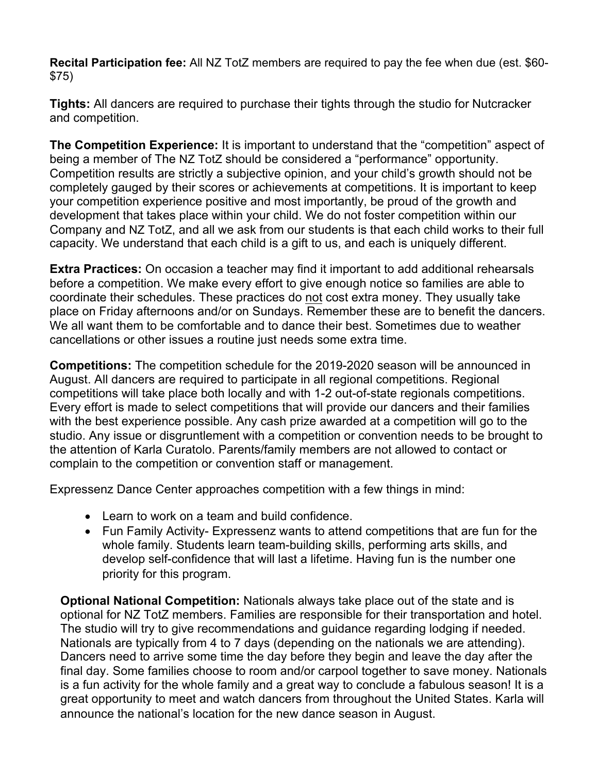**Recital Participation fee:** All NZ TotZ members are required to pay the fee when due (est. \$60- \$75)

**Tights:** All dancers are required to purchase their tights through the studio for Nutcracker and competition.

**The Competition Experience:** It is important to understand that the "competition" aspect of being a member of The NZ TotZ should be considered a "performance" opportunity. Competition results are strictly a subjective opinion, and your child's growth should not be completely gauged by their scores or achievements at competitions. It is important to keep your competition experience positive and most importantly, be proud of the growth and development that takes place within your child. We do not foster competition within our Company and NZ TotZ, and all we ask from our students is that each child works to their full capacity. We understand that each child is a gift to us, and each is uniquely different.

**Extra Practices:** On occasion a teacher may find it important to add additional rehearsals before a competition. We make every effort to give enough notice so families are able to coordinate their schedules. These practices do not cost extra money. They usually take place on Friday afternoons and/or on Sundays. Remember these are to benefit the dancers. We all want them to be comfortable and to dance their best. Sometimes due to weather cancellations or other issues a routine just needs some extra time.

**Competitions:** The competition schedule for the 2019-2020 season will be announced in August. All dancers are required to participate in all regional competitions. Regional competitions will take place both locally and with 1-2 out-of-state regionals competitions. Every effort is made to select competitions that will provide our dancers and their families with the best experience possible. Any cash prize awarded at a competition will go to the studio. Any issue or disgruntlement with a competition or convention needs to be brought to the attention of Karla Curatolo. Parents/family members are not allowed to contact or complain to the competition or convention staff or management.

Expressenz Dance Center approaches competition with a few things in mind:

- Learn to work on a team and build confidence.
- Fun Family Activity- Expressenz wants to attend competitions that are fun for the whole family. Students learn team-building skills, performing arts skills, and develop self-confidence that will last a lifetime. Having fun is the number one priority for this program.

**Optional National Competition:** Nationals always take place out of the state and is optional for NZ TotZ members. Families are responsible for their transportation and hotel. The studio will try to give recommendations and guidance regarding lodging if needed. Nationals are typically from 4 to 7 days (depending on the nationals we are attending). Dancers need to arrive some time the day before they begin and leave the day after the final day. Some families choose to room and/or carpool together to save money. Nationals is a fun activity for the whole family and a great way to conclude a fabulous season! It is a great opportunity to meet and watch dancers from throughout the United States. Karla will announce the national's location for the new dance season in August.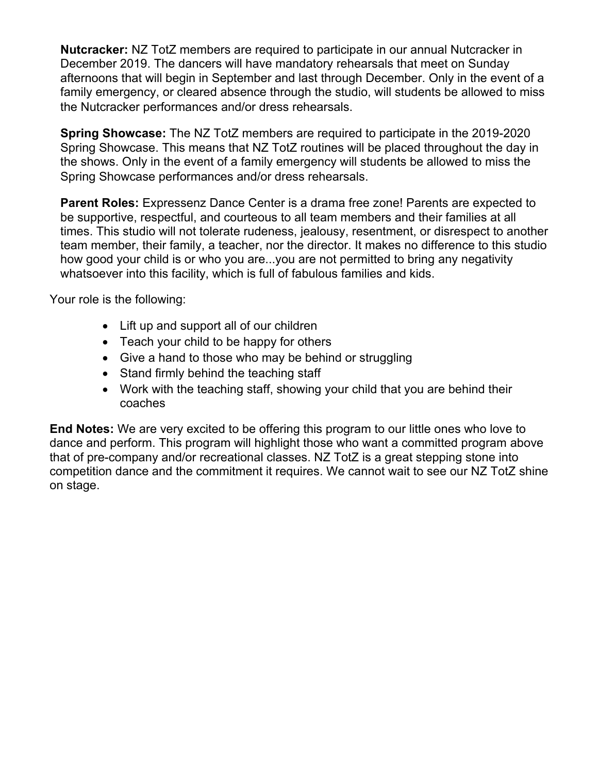**Nutcracker:** NZ TotZ members are required to participate in our annual Nutcracker in December 2019. The dancers will have mandatory rehearsals that meet on Sunday afternoons that will begin in September and last through December. Only in the event of a family emergency, or cleared absence through the studio, will students be allowed to miss the Nutcracker performances and/or dress rehearsals.

**Spring Showcase:** The NZ TotZ members are required to participate in the 2019-2020 Spring Showcase. This means that NZ TotZ routines will be placed throughout the day in the shows. Only in the event of a family emergency will students be allowed to miss the Spring Showcase performances and/or dress rehearsals.

**Parent Roles:** Expressenz Dance Center is a drama free zone! Parents are expected to be supportive, respectful, and courteous to all team members and their families at all times. This studio will not tolerate rudeness, jealousy, resentment, or disrespect to another team member, their family, a teacher, nor the director. It makes no difference to this studio how good your child is or who you are...you are not permitted to bring any negativity whatsoever into this facility, which is full of fabulous families and kids.

Your role is the following:

- Lift up and support all of our children
- Teach your child to be happy for others
- Give a hand to those who may be behind or struggling
- Stand firmly behind the teaching staff
- Work with the teaching staff, showing your child that you are behind their coaches

**End Notes:** We are very excited to be offering this program to our little ones who love to dance and perform. This program will highlight those who want a committed program above that of pre-company and/or recreational classes. NZ TotZ is a great stepping stone into competition dance and the commitment it requires. We cannot wait to see our NZ TotZ shine on stage.